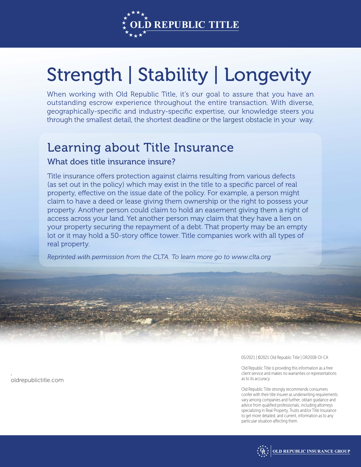

## Strength | Stability | Longevity

When working with Old Republic Title, it's our goal to assure that you have an outstanding escrow experience throughout the entire transaction. With diverse, geographically-specific and industry-specific expertise, our knowledge steers you through the smallest detail, the shortest deadline or the largest obstacle in your way.

## Learning about Title Insurance

## What does title insurance insure?

Title insurance offers protection against claims resulting from various defects (as set out in the policy) which may exist in the title to a specific parcel of real property, effective on the issue date of the policy. For example, a person might claim to have a deed or lease giving them ownership or the right to possess your property. Another person could claim to hold an easement giving them a right of access across your land. Yet another person may claim that they have a lien on your property securing the repayment of a debt. That property may be an empty lot or it may hold a 50-story office tower. Title companies work with all types of real property.

*Reprinted with permission from the CLTA. To learn more go to www.clta.org*

**oldrepublictitle.com**

**,**

05/2021 | ©2021 Old Republic Title | OR2008-DI-CA

Old Republic Title is providing this information as a free client service and makes no warranties or representations as to its accuracy.

Old Republic Title strongly recommends consumers confer with their title insurer as underwriting requirements vary among companies and further, obtain guidance and advice from qualified professionals, including attorneys specializing in Real Property, Trusts and/or Title Insurance to get more detailed, and current, information as to any particular situation affecting them.